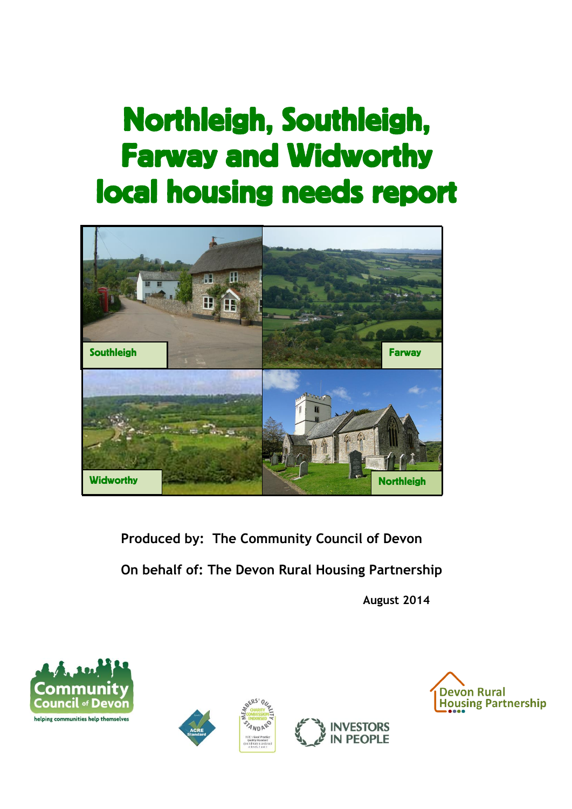# Northleigh, Southleigh, Farway and Widworthy local housing needs report



**Produced by: The Community Council of Devon On behalf of: The Devon Rural Housing Partnership**

**August 2014**







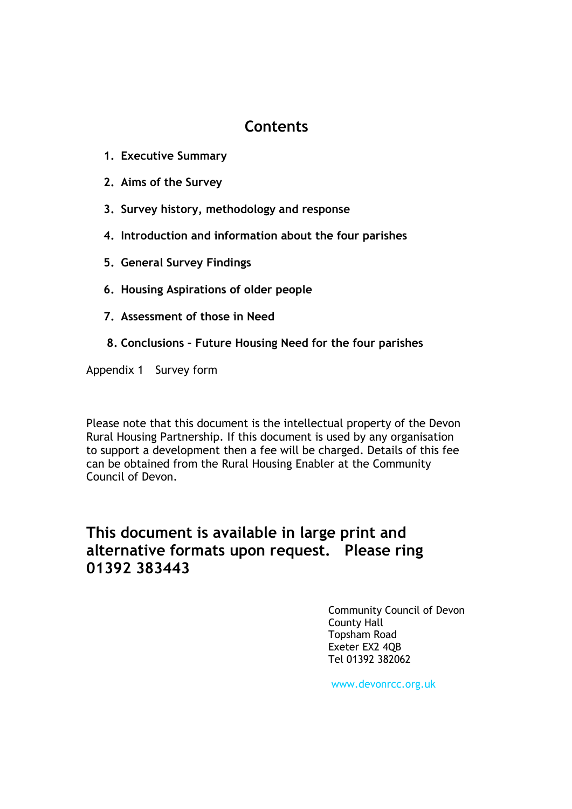# **Contents**

- **1. Executive Summary**
- **2. Aims of the Survey**
- **3. Survey history, methodology and response**
- **4. Introduction and information about the four parishes**
- **5. General Survey Findings**
- **6. Housing Aspirations of older people**
- **7. Assessment of those in Need**
- **8. Conclusions – Future Housing Need for the four parishes**

Appendix 1 Survey form

Please note that this document is the intellectual property of the Devon Rural Housing Partnership. If this document is used by any organisation to support a development then a fee will be charged. Details of this fee can be obtained from the Rural Housing Enabler at the Community Council of Devon.

# **This document is available in large print and alternative formats upon request. Please ring 01392 383443**

Community Council of Devon County Hall Topsham Road Exeter EX2 4QB Tel 01392 382062

www.devonrcc.org.uk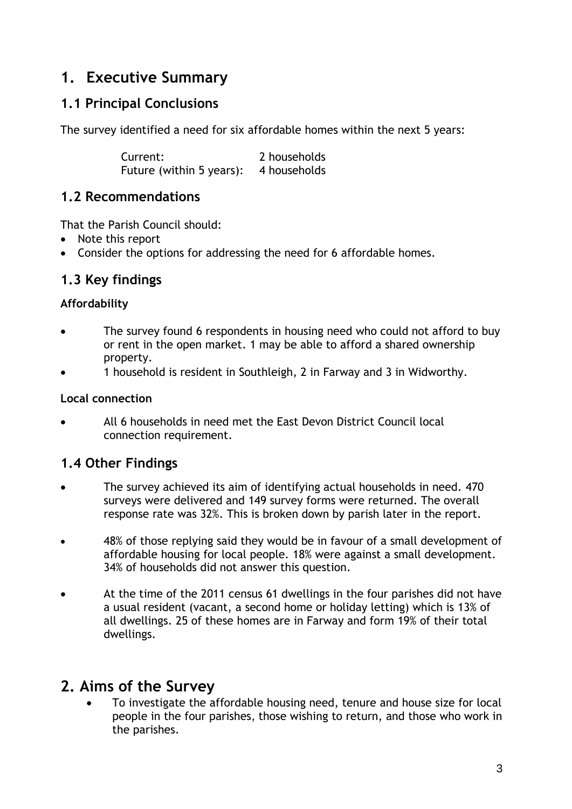# **1. Executive Summary**

# **1.1 Principal Conclusions**

The survey identified a need for six affordable homes within the next 5 years:

Current: 2 households Future (within 5 years): 4 households

## **1.2 Recommendations**

That the Parish Council should:

- Note this report
- Consider the options for addressing the need for 6 affordable homes.

# **1.3 Key findings**

### **Affordability**

- The survey found 6 respondents in housing need who could not afford to buy or rent in the open market. 1 may be able to afford a shared ownership property.
- 1 household is resident in Southleigh, 2 in Farway and 3 in Widworthy.

### **Local connection**

 All 6 households in need met the East Devon District Council local connection requirement.

# **1.4 Other Findings**

- The survey achieved its aim of identifying actual households in need. 470 surveys were delivered and 149 survey forms were returned. The overall response rate was 32%. This is broken down by parish later in the report.
- 48% of those replying said they would be in favour of a small development of affordable housing for local people. 18% were against a small development. 34% of households did not answer this question.
- At the time of the 2011 census 61 dwellings in the four parishes did not have a usual resident (vacant, a second home or holiday letting) which is 13% of all dwellings. 25 of these homes are in Farway and form 19% of their total dwellings.

# **2. Aims of the Survey**

 To investigate the affordable housing need, tenure and house size for local people in the four parishes, those wishing to return, and those who work in the parishes.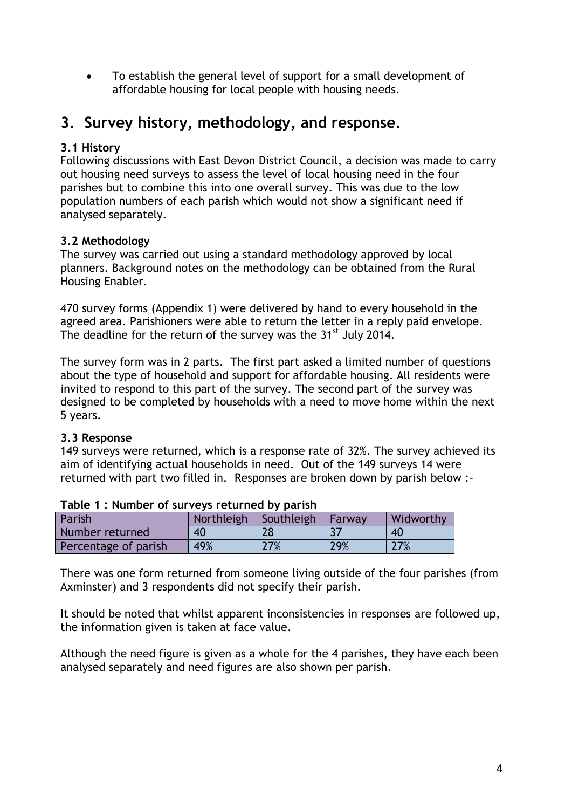To establish the general level of support for a small development of affordable housing for local people with housing needs.

# **3. Survey history, methodology, and response.**

### **3.1 History**

Following discussions with East Devon District Council, a decision was made to carry out housing need surveys to assess the level of local housing need in the four parishes but to combine this into one overall survey. This was due to the low population numbers of each parish which would not show a significant need if analysed separately.

### **3.2 Methodology**

The survey was carried out using a standard methodology approved by local planners. Background notes on the methodology can be obtained from the Rural Housing Enabler.

470 survey forms (Appendix 1) were delivered by hand to every household in the agreed area. Parishioners were able to return the letter in a reply paid envelope. The deadline for the return of the survey was the  $31^{st}$  July 2014.

The survey form was in 2 parts. The first part asked a limited number of questions about the type of household and support for affordable housing. All residents were invited to respond to this part of the survey. The second part of the survey was designed to be completed by households with a need to move home within the next 5 years.

### **3.3 Response**

149 surveys were returned, which is a response rate of 32%. The survey achieved its aim of identifying actual households in need. Out of the 149 surveys 14 were returned with part two filled in. Responses are broken down by parish below :-

| Parish               | Northleigh Southleigh |     | Farway | Widworthy |  |  |  |
|----------------------|-----------------------|-----|--------|-----------|--|--|--|
| Number returned      | 40                    | 28  |        | 40        |  |  |  |
| Percentage of parish | 49%                   | 27% | 29%    | 27%       |  |  |  |

### **Table 1 : Number of surveys returned by parish**

There was one form returned from someone living outside of the four parishes (from Axminster) and 3 respondents did not specify their parish.

It should be noted that whilst apparent inconsistencies in responses are followed up, the information given is taken at face value.

Although the need figure is given as a whole for the 4 parishes, they have each been analysed separately and need figures are also shown per parish.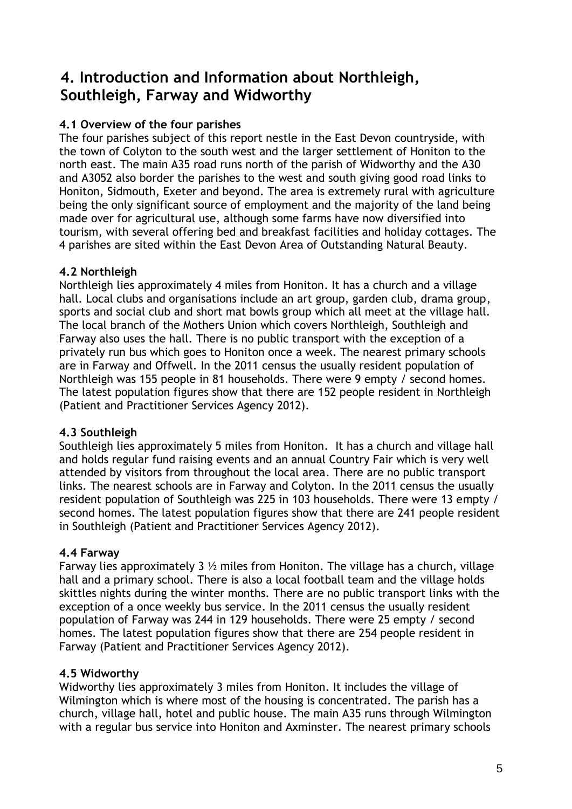# **4. Introduction and Information about Northleigh, Southleigh, Farway and Widworthy**

### **4.1 Overview of the four parishes**

The four parishes subject of this report nestle in the East Devon countryside, with the town of Colyton to the south west and the larger settlement of Honiton to the north east. The main A35 road runs north of the parish of Widworthy and the A30 and A3052 also border the parishes to the west and south giving good road links to Honiton, Sidmouth, Exeter and beyond. The area is extremely rural with agriculture being the only significant source of employment and the majority of the land being made over for agricultural use, although some farms have now diversified into tourism, with several offering bed and breakfast facilities and holiday cottages. The 4 parishes are sited within the East Devon Area of Outstanding Natural Beauty.

### **4.2 Northleigh**

Northleigh lies approximately 4 miles from Honiton. It has a church and a village hall. Local clubs and organisations include an art group, garden club, drama group, sports and social club and short mat bowls group which all meet at the village hall. The local branch of the Mothers Union which covers Northleigh, Southleigh and Farway also uses the hall. There is no public transport with the exception of a privately run bus which goes to Honiton once a week. The nearest primary schools are in Farway and Offwell. In the 2011 census the usually resident population of Northleigh was 155 people in 81 households. There were 9 empty / second homes. The latest population figures show that there are 152 people resident in Northleigh (Patient and Practitioner Services Agency 2012).

### **4.3 Southleigh**

Southleigh lies approximately 5 miles from Honiton. It has a church and village hall and holds regular fund raising events and an annual Country Fair which is very well attended by visitors from throughout the local area. There are no public transport links. The nearest schools are in Farway and Colyton. In the 2011 census the usually resident population of Southleigh was 225 in 103 households. There were 13 empty / second homes. The latest population figures show that there are 241 people resident in Southleigh (Patient and Practitioner Services Agency 2012).

### **4.4 Farway**

Farway lies approximately 3  $\frac{1}{2}$  miles from Honiton. The village has a church, village hall and a primary school. There is also a local football team and the village holds skittles nights during the winter months. There are no public transport links with the exception of a once weekly bus service. In the 2011 census the usually resident population of Farway was 244 in 129 households. There were 25 empty / second homes. The latest population figures show that there are 254 people resident in Farway (Patient and Practitioner Services Agency 2012).

### **4.5 Widworthy**

Widworthy lies approximately 3 miles from Honiton. It includes the village of Wilmington which is where most of the housing is concentrated. The parish has a church, village hall, hotel and public house. The main A35 runs through Wilmington with a regular bus service into Honiton and Axminster. The nearest primary schools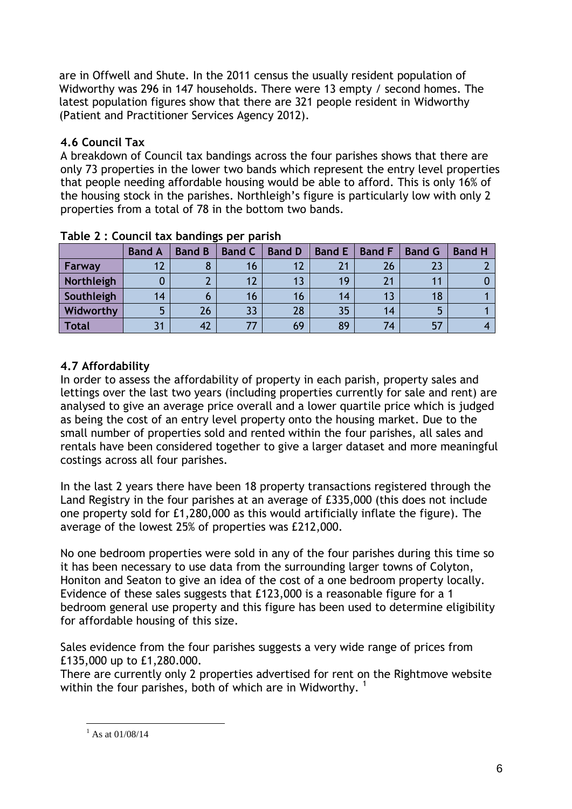are in Offwell and Shute. In the 2011 census the usually resident population of Widworthy was 296 in 147 households. There were 13 empty / second homes. The latest population figures show that there are 321 people resident in Widworthy (Patient and Practitioner Services Agency 2012).

## **4.6 Council Tax**

A breakdown of Council tax bandings across the four parishes shows that there are only 73 properties in the lower two bands which represent the entry level properties that people needing affordable housing would be able to afford. This is only 16% of the housing stock in the parishes. Northleigh's figure is particularly low with only 2 properties from a total of 78 in the bottom two bands.

|            |               | <b>.</b>      |               |               |               |               |               |               |
|------------|---------------|---------------|---------------|---------------|---------------|---------------|---------------|---------------|
|            | <b>Band A</b> | <b>Band B</b> | <b>Band C</b> | <b>Band D</b> | <b>Band E</b> | <b>Band F</b> | <b>Band G</b> | <b>Band H</b> |
| Farway     |               |               | 16            |               | 21            | 26            |               |               |
| Northleigh |               |               |               | 13            | 19            | 21            |               |               |
| Southleigh | 14            |               | 16            | 16            | 14            | 13            | 18            |               |
| Widworthy  |               | 26            | 33            | 28            | 35            | 14            |               |               |
| Total      |               | 42            |               | 69            | 89            | 74            | 57            |               |

| Table 2 : Council tax bandings per parish |  |
|-------------------------------------------|--|
|-------------------------------------------|--|

### **4.7 Affordability**

In order to assess the affordability of property in each parish, property sales and lettings over the last two years (including properties currently for sale and rent) are analysed to give an average price overall and a lower quartile price which is judged as being the cost of an entry level property onto the housing market. Due to the small number of properties sold and rented within the four parishes, all sales and rentals have been considered together to give a larger dataset and more meaningful costings across all four parishes.

In the last 2 years there have been 18 property transactions registered through the Land Registry in the four parishes at an average of £335,000 (this does not include one property sold for £1,280,000 as this would artificially inflate the figure). The average of the lowest 25% of properties was £212,000.

No one bedroom properties were sold in any of the four parishes during this time so it has been necessary to use data from the surrounding larger towns of Colyton, Honiton and Seaton to give an idea of the cost of a one bedroom property locally. Evidence of these sales suggests that £123,000 is a reasonable figure for a 1 bedroom general use property and this figure has been used to determine eligibility for affordable housing of this size.

Sales evidence from the four parishes suggests a very wide range of prices from £135,000 up to £1,280.000.

There are currently only 2 properties advertised for rent on the Rightmove website within the four parishes, both of which are in Widworthv.  $1$ 

<sup>1</sup>  $^{1}$  As at 01/08/14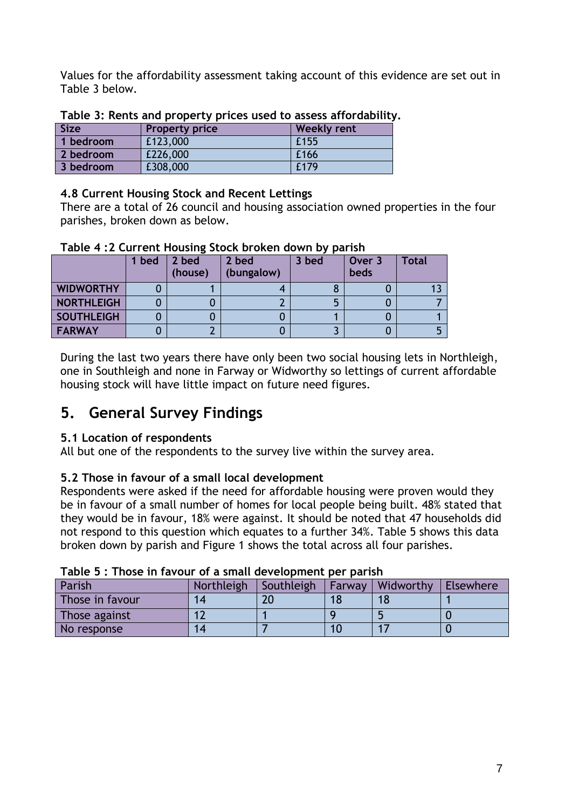Values for the affordability assessment taking account of this evidence are set out in Table 3 below.

| <b>Size</b> | <b>Property price</b> | <b>Weekly rent</b> |
|-------------|-----------------------|--------------------|
| 1 bedroom   | £123,000              | £155               |
| 2 bedroom   | £226,000              | £166               |
| 3 bedroom   | £308,000              | £179               |

### **Table 3: Rents and property prices used to assess affordability.**

### **4.8 Current Housing Stock and Recent Lettings**

There are a total of 26 council and housing association owned properties in the four parishes, broken down as below.

|                   | l bed | 2 bed<br>(house) | 2 bed<br>(bungalow) | 3 bed | Over 3<br>beds | <b>Total</b> |
|-------------------|-------|------------------|---------------------|-------|----------------|--------------|
| <b>WIDWORTHY</b>  |       |                  |                     |       |                |              |
| NORTHLEIGH        |       |                  |                     |       |                |              |
| <b>SOUTHLEIGH</b> |       |                  |                     |       |                |              |
| <b>FARWAY</b>     |       |                  |                     |       |                |              |

### **Table 4 :2 Current Housing Stock broken down by parish**

During the last two years there have only been two social housing lets in Northleigh, one in Southleigh and none in Farway or Widworthy so lettings of current affordable housing stock will have little impact on future need figures.

# **5. General Survey Findings**

### **5.1 Location of respondents**

All but one of the respondents to the survey live within the survey area.

### **5.2 Those in favour of a small local development**

Respondents were asked if the need for affordable housing were proven would they be in favour of a small number of homes for local people being built. 48% stated that they would be in favour, 18% were against. It should be noted that 47 households did not respond to this question which equates to a further 34%. Table 5 shows this data broken down by parish and Figure 1 shows the total across all four parishes.

| rabic b , Those in Tavour or a sinan acveropment per parish |            |            |         |                  |           |  |  |  |  |
|-------------------------------------------------------------|------------|------------|---------|------------------|-----------|--|--|--|--|
| Parish                                                      | Northleigh | Southleigh | 'Farway | <b>Widworthy</b> | Elsewhere |  |  |  |  |
| Those in favour                                             |            |            |         |                  |           |  |  |  |  |
| Those against                                               |            |            |         |                  |           |  |  |  |  |
| No response                                                 |            |            |         |                  |           |  |  |  |  |

# **Table 5 : Those in favour of a small development per parish**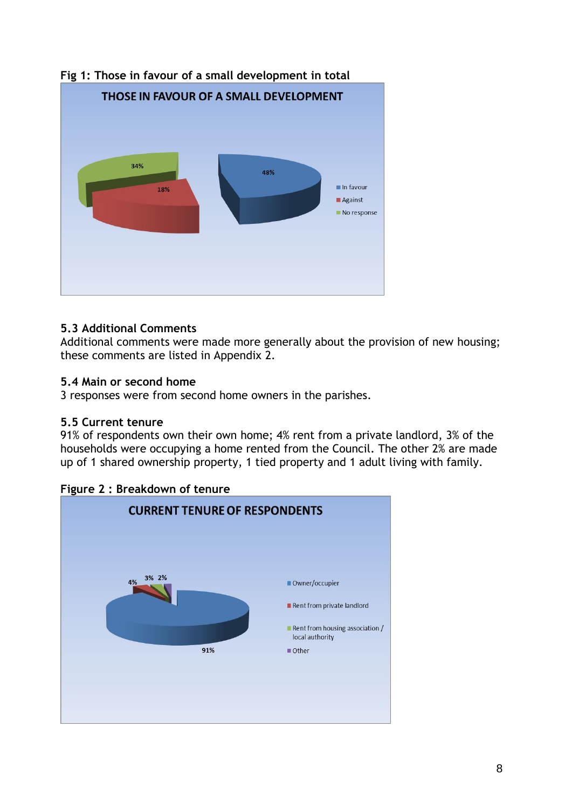

# **Fig 1: Those in favour of a small development in total**

### **5.3 Additional Comments**

Additional comments were made more generally about the provision of new housing; these comments are listed in Appendix 2.

### **5.4 Main or second home**

3 responses were from second home owners in the parishes.

### **5.5 Current tenure**

91% of respondents own their own home; 4% rent from a private landlord, 3% of the households were occupying a home rented from the Council. The other 2% are made up of 1 shared ownership property, 1 tied property and 1 adult living with family.



**Figure 2 : Breakdown of tenure**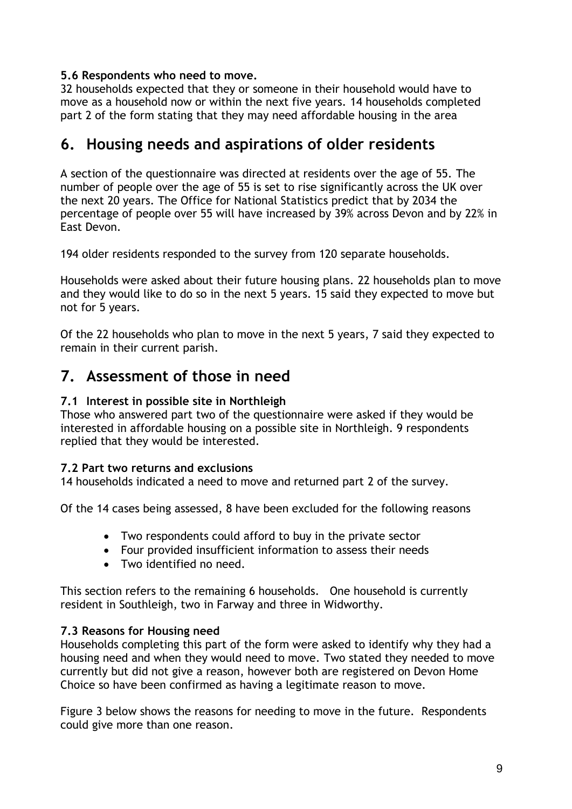### **5.6 Respondents who need to move.**

32 households expected that they or someone in their household would have to move as a household now or within the next five years. 14 households completed part 2 of the form stating that they may need affordable housing in the area

# **6. Housing needs and aspirations of older residents**

A section of the questionnaire was directed at residents over the age of 55. The number of people over the age of 55 is set to rise significantly across the UK over the next 20 years. The Office for National Statistics predict that by 2034 the percentage of people over 55 will have increased by 39% across Devon and by 22% in East Devon.

194 older residents responded to the survey from 120 separate households.

Households were asked about their future housing plans. 22 households plan to move and they would like to do so in the next 5 years. 15 said they expected to move but not for 5 years.

Of the 22 households who plan to move in the next 5 years, 7 said they expected to remain in their current parish.

# **7. Assessment of those in need**

### **7.1 Interest in possible site in Northleigh**

Those who answered part two of the questionnaire were asked if they would be interested in affordable housing on a possible site in Northleigh. 9 respondents replied that they would be interested.

### **7.2 Part two returns and exclusions**

14 households indicated a need to move and returned part 2 of the survey.

Of the 14 cases being assessed, 8 have been excluded for the following reasons

- Two respondents could afford to buy in the private sector
- Four provided insufficient information to assess their needs
- Two identified no need.

This section refers to the remaining 6 households. One household is currently resident in Southleigh, two in Farway and three in Widworthy.

### **7.3 Reasons for Housing need**

Households completing this part of the form were asked to identify why they had a housing need and when they would need to move. Two stated they needed to move currently but did not give a reason, however both are registered on Devon Home Choice so have been confirmed as having a legitimate reason to move.

Figure 3 below shows the reasons for needing to move in the future. Respondents could give more than one reason.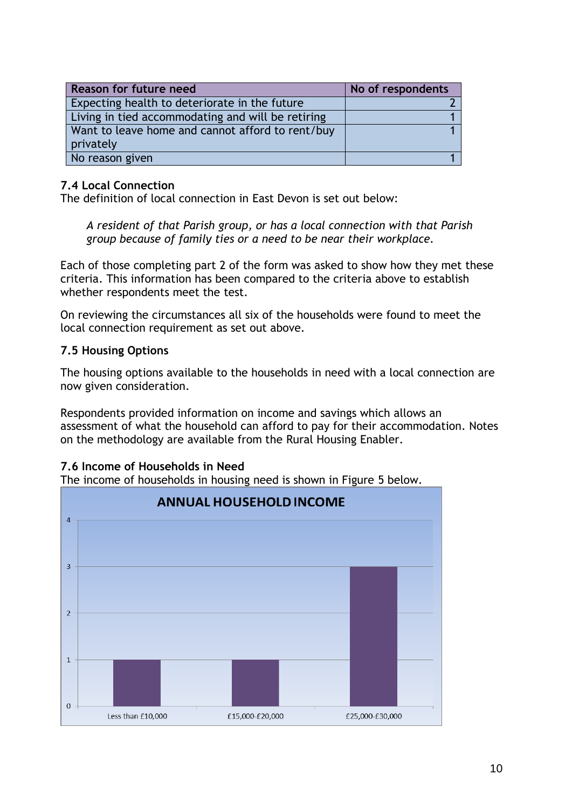| <b>Reason for future need</b>                                 | No of respondents |
|---------------------------------------------------------------|-------------------|
| Expecting health to deteriorate in the future                 |                   |
| Living in tied accommodating and will be retiring             |                   |
| Want to leave home and cannot afford to rent/buy<br>privately |                   |
| No reason given                                               |                   |

### **7.4 Local Connection**

The definition of local connection in East Devon is set out below:

*A resident of that Parish group, or has a local connection with that Parish group because of family ties or a need to be near their workplace.*

Each of those completing part 2 of the form was asked to show how they met these criteria. This information has been compared to the criteria above to establish whether respondents meet the test.

On reviewing the circumstances all six of the households were found to meet the local connection requirement as set out above.

### **7.5 Housing Options**

The housing options available to the households in need with a local connection are now given consideration.

Respondents provided information on income and savings which allows an assessment of what the household can afford to pay for their accommodation. Notes on the methodology are available from the Rural Housing Enabler.

### **7.6 Income of Households in Need**

The income of households in housing need is shown in Figure 5 below.

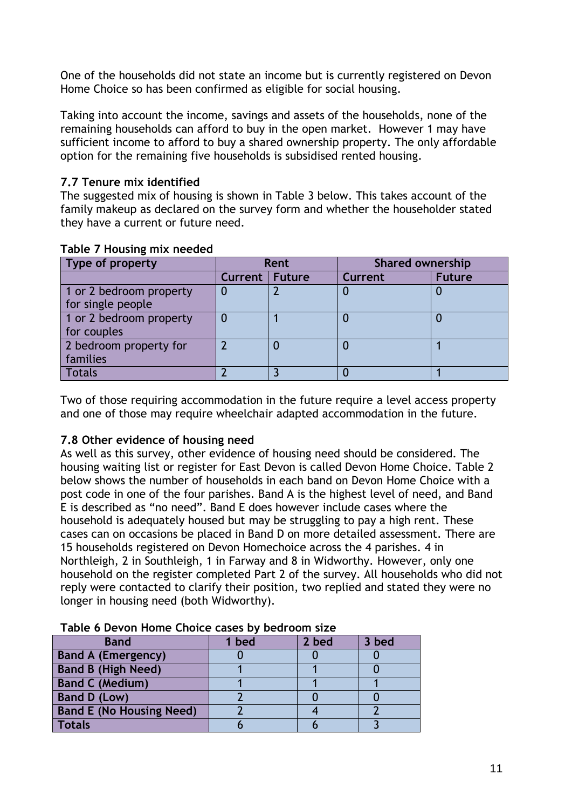One of the households did not state an income but is currently registered on Devon Home Choice so has been confirmed as eligible for social housing.

Taking into account the income, savings and assets of the households, none of the remaining households can afford to buy in the open market. However 1 may have sufficient income to afford to buy a shared ownership property. The only affordable option for the remaining five households is subsidised rented housing.

### **7.7 Tenure mix identified**

The suggested mix of housing is shown in Table 3 below. This takes account of the family makeup as declared on the survey form and whether the householder stated they have a current or future need.

| Type of property                             | Rent                  |  | <b>Shared ownership</b> |               |
|----------------------------------------------|-----------------------|--|-------------------------|---------------|
|                                              | <b>Current Future</b> |  | Current                 | <b>Future</b> |
| 1 or 2 bedroom property<br>for single people |                       |  |                         |               |
| 1 or 2 bedroom property<br>for couples       |                       |  |                         |               |
| 2 bedroom property for<br>families           |                       |  |                         |               |
| <b>Totals</b>                                |                       |  |                         |               |

### **Table 7 Housing mix needed**

Two of those requiring accommodation in the future require a level access property and one of those may require wheelchair adapted accommodation in the future.

### **7.8 Other evidence of housing need**

As well as this survey, other evidence of housing need should be considered. The housing waiting list or register for East Devon is called Devon Home Choice. Table 2 below shows the number of households in each band on Devon Home Choice with a post code in one of the four parishes. Band A is the highest level of need, and Band E is described as "no need". Band E does however include cases where the household is adequately housed but may be struggling to pay a high rent. These cases can on occasions be placed in Band D on more detailed assessment. There are 15 households registered on Devon Homechoice across the 4 parishes. 4 in Northleigh, 2 in Southleigh, 1 in Farway and 8 in Widworthy. However, only one household on the register completed Part 2 of the survey. All households who did not reply were contacted to clarify their position, two replied and stated they were no longer in housing need (both Widworthy).

| , apic v petvil living choice cases by |     | ------------ |       |
|----------------------------------------|-----|--------------|-------|
| <b>Band</b>                            | bed | 2 bed        | 3 bed |
| <b>Band A (Emergency)</b>              |     |              |       |
| <b>Band B (High Need)</b>              |     |              |       |
| <b>Band C (Medium)</b>                 |     |              |       |
| <b>Band D (Low)</b>                    |     |              |       |
| <b>Band E (No Housing Need)</b>        |     |              |       |
| <b>Totals</b>                          |     |              |       |

### **Table 6 Devon Home Choice cases by bedroom size**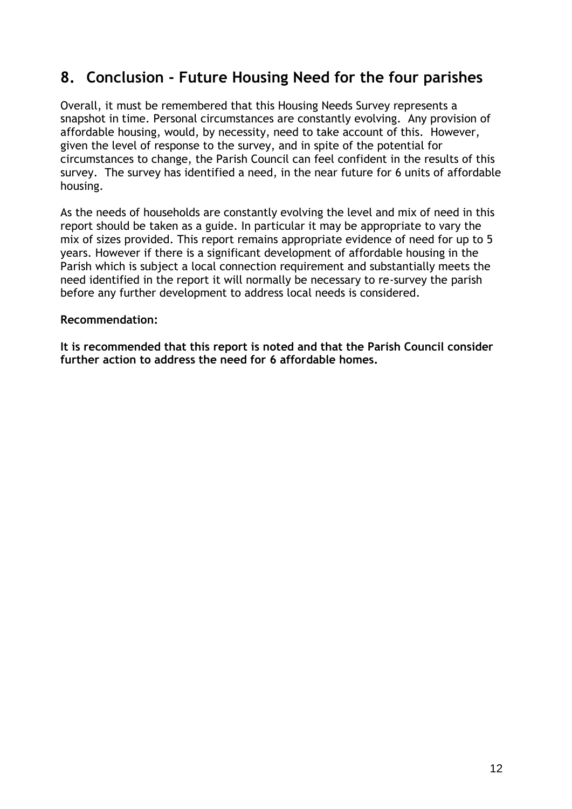# **8. Conclusion - Future Housing Need for the four parishes**

Overall, it must be remembered that this Housing Needs Survey represents a snapshot in time. Personal circumstances are constantly evolving. Any provision of affordable housing, would, by necessity, need to take account of this. However, given the level of response to the survey, and in spite of the potential for circumstances to change, the Parish Council can feel confident in the results of this survey. The survey has identified a need, in the near future for 6 units of affordable housing.

As the needs of households are constantly evolving the level and mix of need in this report should be taken as a guide. In particular it may be appropriate to vary the mix of sizes provided. This report remains appropriate evidence of need for up to 5 years. However if there is a significant development of affordable housing in the Parish which is subject a local connection requirement and substantially meets the need identified in the report it will normally be necessary to re-survey the parish before any further development to address local needs is considered.

### **Recommendation:**

**It is recommended that this report is noted and that the Parish Council consider further action to address the need for 6 affordable homes.**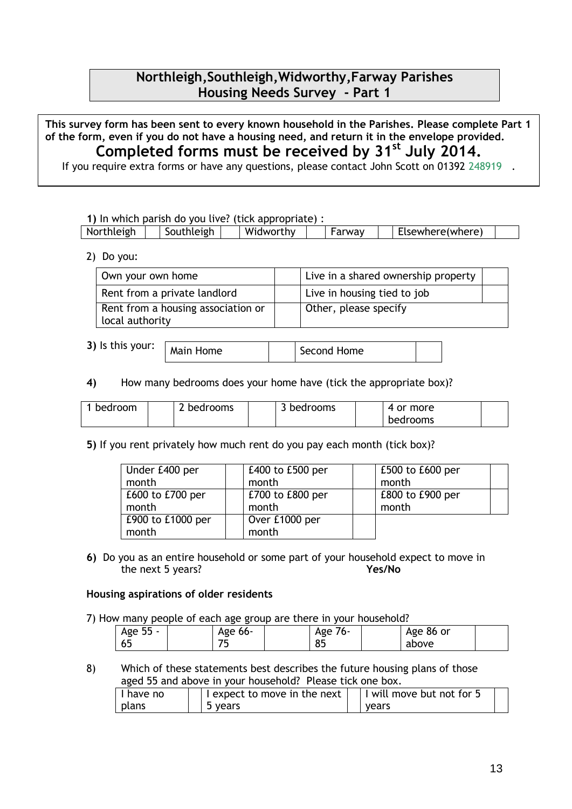### **Northleigh,Southleigh,Widworthy,Farway Parishes Housing Needs Survey - Part 1**

**This survey form has been sent to every known household in the Parishes. Please complete Part 1 of the form, even if you do not have a housing need, and return it in the envelope provided. Completed forms must be received by 31st July 2014.**

If you require extra forms or have any questions, please contact John Scott on 01392 248919 .

**1)** In which parish do you live? (tick appropriate) :

| $\cdots$<br>Northleigh<br>:Isewhere(where)<br>uthleigh<br>/idworthv<br>W.<br>$\cdots$<br>$\overline{\phantom{a}}$<br>™av ∵<br>- NULL |
|--------------------------------------------------------------------------------------------------------------------------------------|
|--------------------------------------------------------------------------------------------------------------------------------------|

2) Do you:

| Own your own home                                     | Live in a shared ownership property |  |
|-------------------------------------------------------|-------------------------------------|--|
| Rent from a private landlord                          | Live in housing tied to job         |  |
| Rent from a housing association or<br>local authority | Other, please specify               |  |

**3)** Is this your:

Main Home  $\vert$  | Second Home

**4)** How many bedrooms does your home have (tick the appropriate box)?

| bedroom | bedrooms | bedrooms | 4 or more |  |
|---------|----------|----------|-----------|--|
|         |          |          | bedrooms  |  |

**5)** If you rent privately how much rent do you pay each month (tick box)?

| Under £400 per     | £400 to £500 per | £500 to £600 per |
|--------------------|------------------|------------------|
| month              | month            | month            |
| $E600$ to £700 per | £700 to £800 per | £800 to £900 per |
| month              | month            | month            |
| £900 to £1000 per  | Over £1000 per   |                  |
| month              | month            |                  |

**6)** Do you as an entire household or some part of your household expect to move in the next 5 years? **Yes/No**

#### **Housing aspirations of older residents**

7) How many people of each age group are there in your household?

|          |             | ___     | .         |  |
|----------|-------------|---------|-----------|--|
| Age 55 - | Age 66-     | Age 76- | Age 86 or |  |
| 65       | ⇁<br>$\sim$ | 85      | above     |  |

8) Which of these statements best describes the future housing plans of those aged 55 and above in your household? Please tick one box.

| I have no | I expect to move in the next | will move but not for 5 |
|-----------|------------------------------|-------------------------|
| plans     | 5 years                      | vears                   |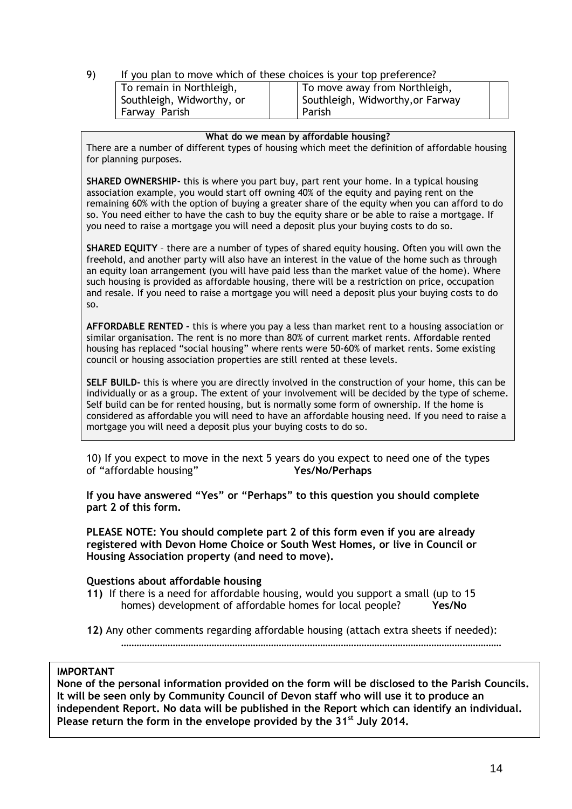#### 9) If you plan to move which of these choices is your top preference?

| To remain in Northleigh,  | To move away from Northleigh,    |  |
|---------------------------|----------------------------------|--|
| Southleigh, Widworthy, or | Southleigh, Widworthy, or Farway |  |
| Farway Parish             | Parish                           |  |

#### **What do we mean by affordable housing?**

There are a number of different types of housing which meet the definition of affordable housing for planning purposes.

**SHARED OWNERSHIP-** this is where you part buy, part rent your home. In a typical housing association example, you would start off owning 40% of the equity and paying rent on the remaining 60% with the option of buying a greater share of the equity when you can afford to do so. You need either to have the cash to buy the equity share or be able to raise a mortgage. If you need to raise a mortgage you will need a deposit plus your buying costs to do so.

**SHARED EQUITY** – there are a number of types of shared equity housing. Often you will own the freehold, and another party will also have an interest in the value of the home such as through an equity loan arrangement (you will have paid less than the market value of the home). Where such housing is provided as affordable housing, there will be a restriction on price, occupation and resale. If you need to raise a mortgage you will need a deposit plus your buying costs to do so.

**AFFORDABLE RENTED –** this is where you pay a less than market rent to a housing association or similar organisation. The rent is no more than 80% of current market rents. Affordable rented housing has replaced "social housing" where rents were 50-60% of market rents. Some existing council or housing association properties are still rented at these levels.

**SELF BUILD-** this is where you are directly involved in the construction of your home, this can be individually or as a group. The extent of your involvement will be decided by the type of scheme. Self build can be for rented housing, but is normally some form of ownership. If the home is considered as affordable you will need to have an affordable housing need. If you need to raise a mortgage you will need a deposit plus your buying costs to do so.

10) If you expect to move in the next 5 years do you expect to need one of the types of "affordable housing" **Yes/No/Perhaps**

**If you have answered "Yes" or "Perhaps" to this question you should complete part 2 of this form.**

**PLEASE NOTE: You should complete part 2 of this form even if you are already registered with Devon Home Choice or South West Homes, or live in Council or Housing Association property (and need to move).** 

#### **Questions about affordable housing**

- **11)** If there is a need for affordable housing, would you support a small (up to 15 homes) development of affordable homes for local people? **Yes/No**
- **12)** Any other comments regarding affordable housing (attach extra sheets if needed):

…………………………………………………………………………………………………………………………………

#### **IMPORTANT**

**None of the personal information provided on the form will be disclosed to the Parish Councils. It will be seen only by Community Council of Devon staff who will use it to produce an independent Report. No data will be published in the Report which can identify an individual. Please return the form in the envelope provided by the 31st July 2014.**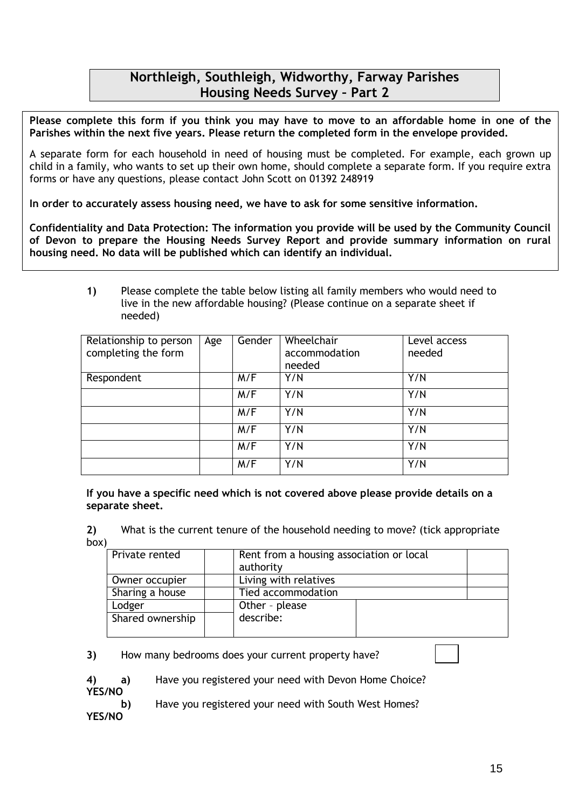### **Northleigh, Southleigh, Widworthy, Farway Parishes Housing Needs Survey – Part 2**

**Please complete this form if you think you may have to move to an affordable home in one of the Parishes within the next five years. Please return the completed form in the envelope provided.**

A separate form for each household in need of housing must be completed. For example, each grown up child in a family, who wants to set up their own home, should complete a separate form. If you require extra forms or have any questions, please contact John Scott on 01392 248919

**In order to accurately assess housing need, we have to ask for some sensitive information.** 

**Confidentiality and Data Protection: The information you provide will be used by the Community Council of Devon to prepare the Housing Needs Survey Report and provide summary information on rural housing need. No data will be published which can identify an individual.**

> **1)** Please complete the table below listing all family members who would need to live in the new affordable housing? (Please continue on a separate sheet if needed)

| Relationship to person<br>completing the form | Age | Gender | Wheelchair<br>accommodation<br>needed | Level access<br>needed |
|-----------------------------------------------|-----|--------|---------------------------------------|------------------------|
| Respondent                                    |     | M/F    | Y/N                                   | Y/N                    |
|                                               |     | M/F    | Y/N                                   | Y/N                    |
|                                               |     | M/F    | Y/N                                   | Y/N                    |
|                                               |     | M/F    | Y/N                                   | Y/N                    |
|                                               |     | M/F    | Y/N                                   | Y/N                    |
|                                               |     | M/F    | Y/N                                   | Y/N                    |

**If you have a specific need which is not covered above please provide details on a separate sheet.**

**2)** What is the current tenure of the household needing to move? (tick appropriate box)

| Private rented   | Rent from a housing association or local |  |
|------------------|------------------------------------------|--|
|                  | authority                                |  |
| Owner occupier   | Living with relatives                    |  |
| Sharing a house  | Tied accommodation                       |  |
| Lodger           | Other - please                           |  |
| Shared ownership | describe:                                |  |
|                  |                                          |  |

**3)** How many bedrooms does your current property have?

**4) a)** Have you registered your need with Devon Home Choice? **YES/NO** 

**b)** Have you registered your need with South West Homes?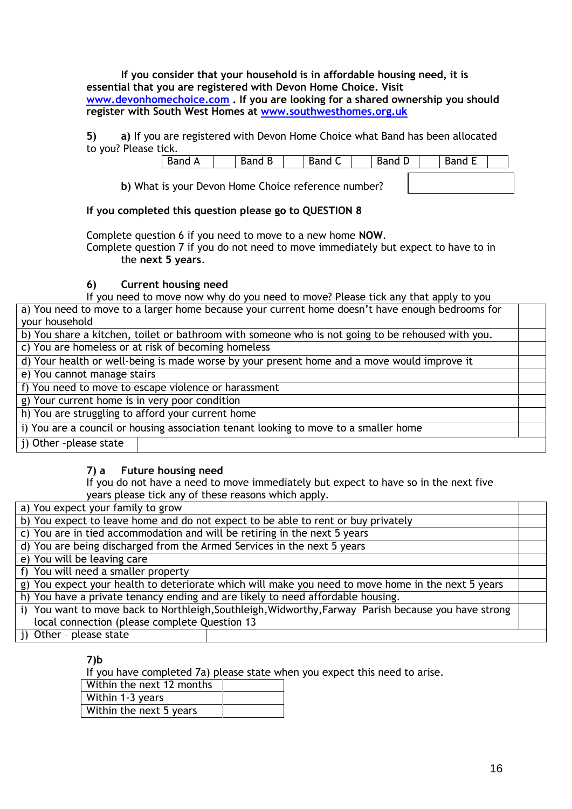**If you consider that your household is in affordable housing need, it is essential that you are registered with Devon Home Choice. Visit [www.devonhomechoice.com](http://www.devonhomechoice.com/) . If you are looking for a shared ownership you should register with South West Homes at [www.southwesthomes.org.uk](http://www.southwesthomes.org.uk/)**

#### **5) a)** If you are registered with Devon Home Choice what Band has been allocated to you? Please tick.

| Band<br>A | -<br>Band<br>D | $\overline{\phantom{0}}$<br>-<br>Band<br>╰ | Band<br>◡ | --<br>Band L |  |
|-----------|----------------|--------------------------------------------|-----------|--------------|--|
|           |                |                                            |           |              |  |

**b)** What is your Devon Home Choice reference number?

### **If you completed this question please go to QUESTION 8**

Complete question 6 if you need to move to a new home **NOW**. Complete question 7 if you do not need to move immediately but expect to have to in the **next 5 years**.

### **6) Current housing need**

If you need to move now why do you need to move? Please tick any that apply to you

| a) You need to move to a larger home because your current home doesn't have enough bedrooms for   |  |  |  |
|---------------------------------------------------------------------------------------------------|--|--|--|
| your household                                                                                    |  |  |  |
| b) You share a kitchen, toilet or bathroom with someone who is not going to be rehoused with you. |  |  |  |
| c) You are homeless or at risk of becoming homeless                                               |  |  |  |
| d) Your health or well-being is made worse by your present home and a move would improve it       |  |  |  |
| e) You cannot manage stairs                                                                       |  |  |  |
| f) You need to move to escape violence or harassment                                              |  |  |  |
| g) Your current home is in very poor condition                                                    |  |  |  |
| h) You are struggling to afford your current home                                                 |  |  |  |
| i) You are a council or housing association tenant looking to move to a smaller home              |  |  |  |
| j) Other -please state                                                                            |  |  |  |
|                                                                                                   |  |  |  |

### **7) a Future housing need**

If you do not have a need to move immediately but expect to have so in the next five years please tick any of these reasons which apply.

| a) You expect your family to grow |  |
|-----------------------------------|--|
|-----------------------------------|--|

| a) Tou expect your Talling to grow                                                                   |  |  |
|------------------------------------------------------------------------------------------------------|--|--|
| b) You expect to leave home and do not expect to be able to rent or buy privately                    |  |  |
| c) You are in tied accommodation and will be retiring in the next 5 years                            |  |  |
| d) You are being discharged from the Armed Services in the next 5 years                              |  |  |
| e) You will be leaving care                                                                          |  |  |
| f) You will need a smaller property                                                                  |  |  |
| g) You expect your health to deteriorate which will make you need to move home in the next 5 years   |  |  |
| h) You have a private tenancy ending and are likely to need affordable housing.                      |  |  |
| i) You want to move back to Northleigh, Southleigh, Widworthy, Farway Parish because you have strong |  |  |
| local connection (please complete Question 13                                                        |  |  |
| j) Other - please state                                                                              |  |  |
|                                                                                                      |  |  |

### **7)b**

If you have completed 7a) please state when you expect this need to arise.

| Within the next 12 months |  |
|---------------------------|--|
| Within 1-3 years          |  |
| Within the next 5 years   |  |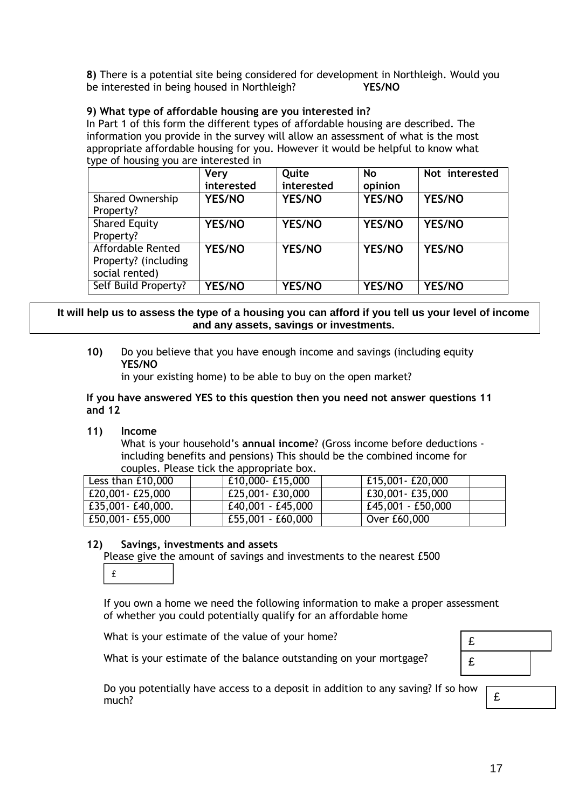**8)** There is a potential site being considered for development in Northleigh. Would you be interested in being housed in Northleigh? **YES/NO**

#### **9) What type of affordable housing are you interested in?**

In Part 1 of this form the different types of affordable housing are described. The information you provide in the survey will allow an assessment of what is the most appropriate affordable housing for you. However it would be helpful to know what type of housing you are interested in

| - - -<br>- -                                                | <b>Very</b><br>interested | Quite<br>interested | <b>No</b><br>opinion | Not interested |
|-------------------------------------------------------------|---------------------------|---------------------|----------------------|----------------|
| <b>Shared Ownership</b><br>Property?                        | <b>YES/NO</b>             | <b>YES/NO</b>       | <b>YES/NO</b>        | <b>YES/NO</b>  |
| <b>Shared Equity</b><br>Property?                           | <b>YES/NO</b>             | <b>YES/NO</b>       | <b>YES/NO</b>        | <b>YES/NO</b>  |
| Affordable Rented<br>Property? (including<br>social rented) | YES/NO                    | YES/NO              | YES/NO               | YES/NO         |
| Self Build Property?                                        | <b>YES/NO</b>             | <b>YES/NO</b>       | YES/NO               | <b>YES/NO</b>  |

#### **It will help us to assess the type of a housing you can afford if you tell us your level of income and any assets, savings or investments.**

**10)** Do you believe that you have enough income and savings (including equity **YES/NO**

in your existing home) to be able to buy on the open market?

#### **If you have answered YES to this question then you need not answer questions 11 and 12**

**11) Income** 

What is your household's **annual income**? (Gross income before deductions including benefits and pensions) This should be the combined income for couples. Please tick the appropriate box.

| Less than £10,000  | £10,000-£15,000   | £15,001 - £20,000   |
|--------------------|-------------------|---------------------|
| £20,001 - £25,000  | £25,001 - £30,000 | £30,001 - £35,000   |
| £35,001 - £40,000. | £40,001 - £45,000 | $E45,001 - E50,000$ |
| £50,001 - £55,000  | £55,001 - £60,000 | Over £60,000        |

#### **12) Savings, investments and assets**

Please give the amount of savings and investments to the nearest £500

 $\hat{\mathtt{f}}$ 

If you own a home we need the following information to make a proper assessment of whether you could potentially qualify for an affordable home

What is your estimate of the value of your home?

What is your estimate of the balance outstanding on your mortgage?

| £ |  |
|---|--|
| £ |  |
|   |  |

Do you potentially have access to a deposit in addition to any saving? If so how much?

£